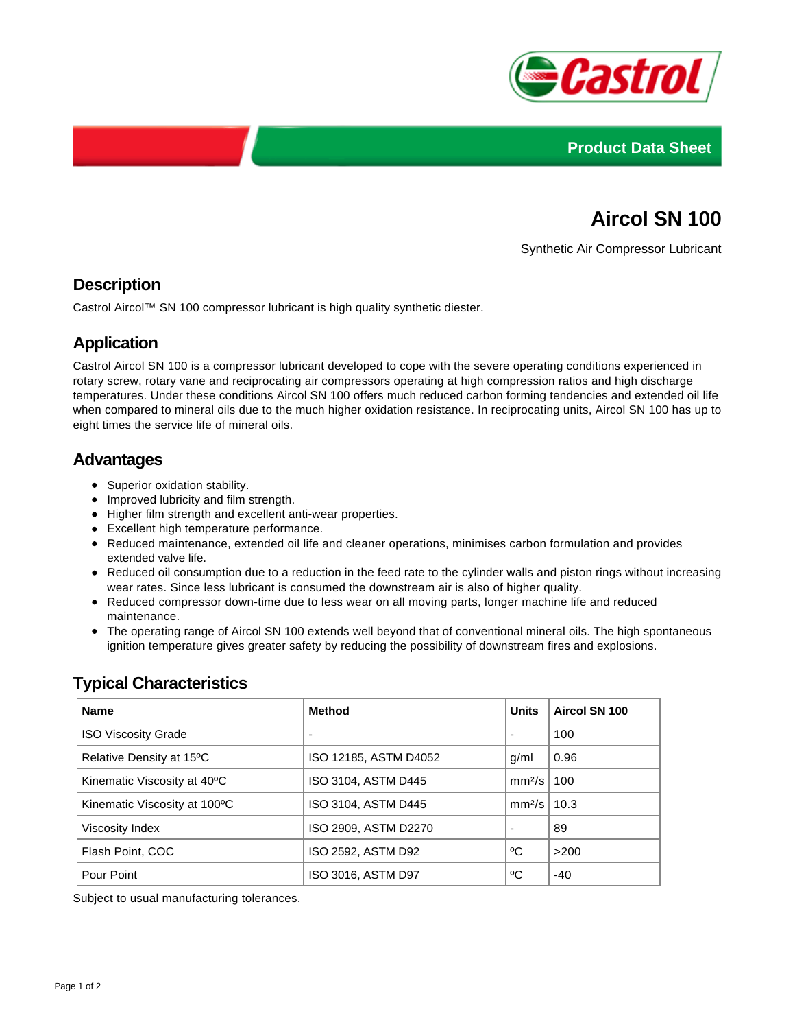



# **Aircol SN 100**

Synthetic Air Compressor Lubricant

### **Description**

Castrol Aircol™ SN 100 compressor lubricant is high quality synthetic diester.

## **Application**

Castrol Aircol SN 100 is a compressor lubricant developed to cope with the severe operating conditions experienced in rotary screw, rotary vane and reciprocating air compressors operating at high compression ratios and high discharge temperatures. Under these conditions Aircol SN 100 offers much reduced carbon forming tendencies and extended oil life when compared to mineral oils due to the much higher oxidation resistance. In reciprocating units, Aircol SN 100 has up to eight times the service life of mineral oils.

#### **Advantages**

- Superior oxidation stability.
- Improved lubricity and film strength.
- Higher film strength and excellent anti-wear properties.
- Excellent high temperature performance.
- Reduced maintenance, extended oil life and cleaner operations, minimises carbon formulation and provides extended valve life.
- Reduced oil consumption due to a reduction in the feed rate to the cylinder walls and piston rings without increasing wear rates. Since less lubricant is consumed the downstream air is also of higher quality.
- Reduced compressor down-time due to less wear on all moving parts, longer machine life and reduced maintenance.
- The operating range of Aircol SN 100 extends well beyond that of conventional mineral oils. The high spontaneous ignition temperature gives greater safety by reducing the possibility of downstream fires and explosions.

## **Typical Characteristics**

| <b>Name</b>                  | <b>Method</b>         | <b>Units</b>      | Aircol SN 100 |
|------------------------------|-----------------------|-------------------|---------------|
| <b>ISO Viscosity Grade</b>   | ۰                     |                   | 100           |
| Relative Density at 15°C     | ISO 12185, ASTM D4052 | g/ml              | 0.96          |
| Kinematic Viscosity at 40°C  | ISO 3104, ASTM D445   | $mm^{2}/s$   100  |               |
| Kinematic Viscosity at 100°C | ISO 3104, ASTM D445   | $mm^{2}/s$   10.3 |               |
| Viscosity Index              | ISO 2909, ASTM D2270  |                   | 89            |
| Flash Point, COC             | ISO 2592, ASTM D92    | °C                | >200          |
| Pour Point                   | ISO 3016, ASTM D97    | °C                | $-40$         |

Subject to usual manufacturing tolerances.